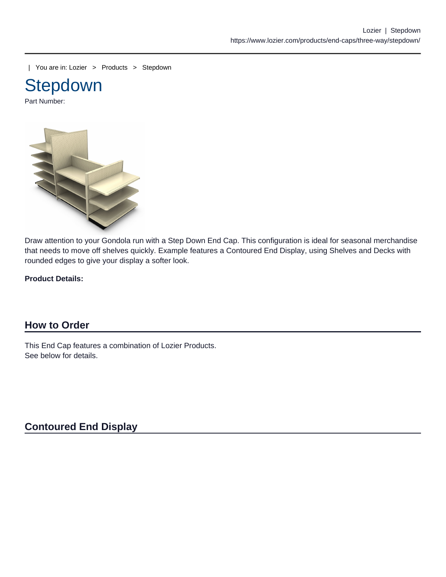| You are in: [Lozier](https://www.lozier.com) > [Products](https://www.lozier.com/products/) > [Stepdown](https://www.lozier.com/products/end-caps/three-way/stepdown/)



Part Number:

Draw attention to your Gondola run with a Step Down End Cap. This configuration is ideal for seasonal merchandise that needs to move off shelves quickly. Example features a Contoured End Display, using Shelves and Decks with rounded edges to give your display a softer look.

Product Details:

### How to Order

This End Cap features a combination of Lozier Products. See below for details.

Contoured End Display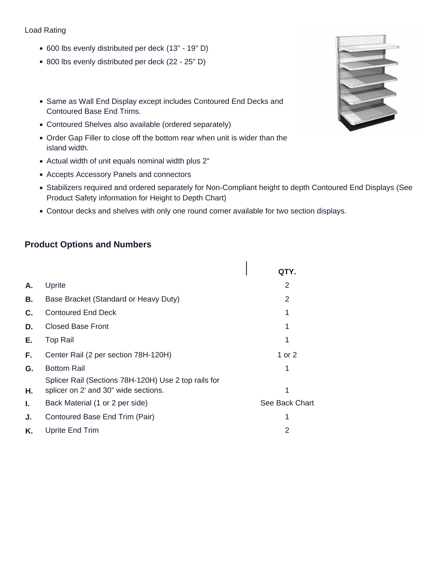#### Load Rating

- 600 lbs evenly distributed per deck (13" 19" D)
- 800 lbs evenly distributed per deck (22 25" D)
- Same as Wall End Display except includes Contoured End Decks and Contoured Base End Trims.
- Contoured Shelves also available (ordered separately)
- Order Gap Filler to close off the bottom rear when unit is wider than the island width.
- Actual width of unit equals nominal width plus 2"
- Accepts Accessory Panels and connectors
- Stabilizers required and ordered separately for Non-Compliant height to depth Contoured End Displays (See Product Safety information for Height to Depth Chart)
- Contour decks and shelves with only one round corner available for two section displays.

### **Product Options and Numbers**

|    |                                                                                              | QTY.           |
|----|----------------------------------------------------------------------------------------------|----------------|
| А. | Uprite                                                                                       | 2              |
| В. | Base Bracket (Standard or Heavy Duty)                                                        | 2              |
| С. | <b>Contoured End Deck</b>                                                                    |                |
| D. | <b>Closed Base Front</b>                                                                     |                |
| Е. | <b>Top Rail</b>                                                                              |                |
| F. | Center Rail (2 per section 78H-120H)                                                         | 1 or 2         |
| G. | <b>Bottom Rail</b>                                                                           |                |
| Η. | Splicer Rail (Sections 78H-120H) Use 2 top rails for<br>splicer on 2' and 30" wide sections. | 1              |
| I. | Back Material (1 or 2 per side)                                                              | See Back Chart |
| J. | Contoured Base End Trim (Pair)                                                               |                |
| K. | Uprite End Trim                                                                              | 2              |
|    |                                                                                              |                |

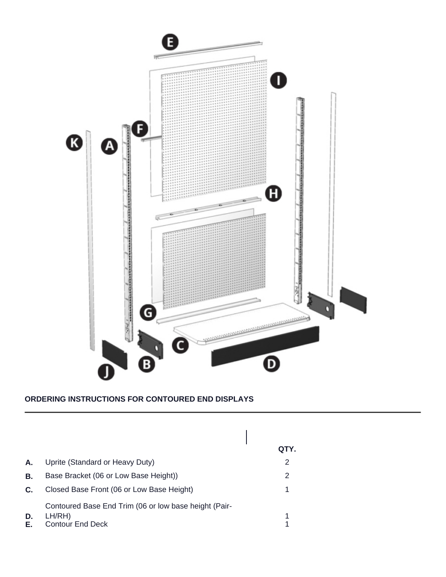

### **ORDERING INSTRUCTIONS FOR CONTOURED END DISPLAYS**

|          |                                                                                            | QTY. |
|----------|--------------------------------------------------------------------------------------------|------|
| Α.       | Uprite (Standard or Heavy Duty)                                                            | 2    |
| В.       | Base Bracket (06 or Low Base Height))                                                      | 2    |
| C.       | Closed Base Front (06 or Low Base Height)                                                  |      |
| D.<br>Е. | Contoured Base End Trim (06 or low base height (Pair-<br>LH/RH)<br><b>Contour End Deck</b> |      |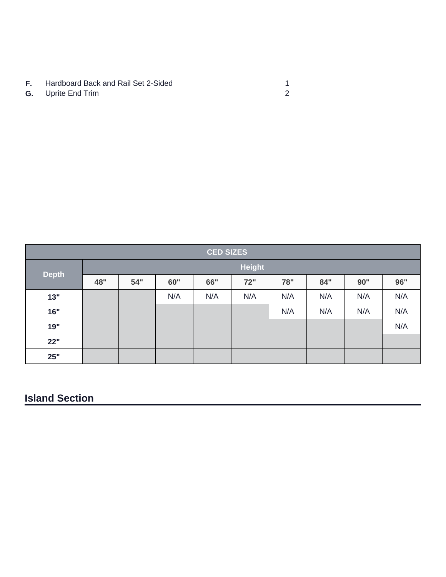- **F.** Hardboard Back and Rail Set 2-Sided<br> **G.** Uprite End Trim
- **G.** Uprite End Trim

| <b>CED SIZES</b> |               |     |     |     |     |     |     |     |     |
|------------------|---------------|-----|-----|-----|-----|-----|-----|-----|-----|
|                  | <b>Height</b> |     |     |     |     |     |     |     |     |
| <b>Depth</b>     | 48"           | 54" | 60" | 66" | 72" | 78" | 84" | 90" | 96" |
| 13"              |               |     | N/A | N/A | N/A | N/A | N/A | N/A | N/A |
| 16"              |               |     |     |     |     | N/A | N/A | N/A | N/A |
| 19"              |               |     |     |     |     |     |     |     | N/A |
| 22"              |               |     |     |     |     |     |     |     |     |
| 25"              |               |     |     |     |     |     |     |     |     |

# **Island Section**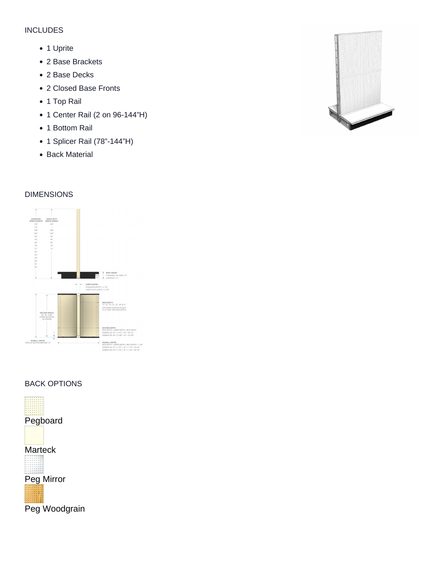#### INCLUDES

- 1 Uprite
- 2 Base Brackets
- 2 Base Decks
- 2 Closed Base Fronts
- 1 Top Rail
- 1 Center Rail (2 on 96-144"H)
- 1 Bottom Rail
- 1 Splicer Rail (78"-144"H)
- Back Material

DIMENSIONS

BACK OPTIONS

Pegboard

**Marteck** 

Peg Mirror

Peg Woodgrain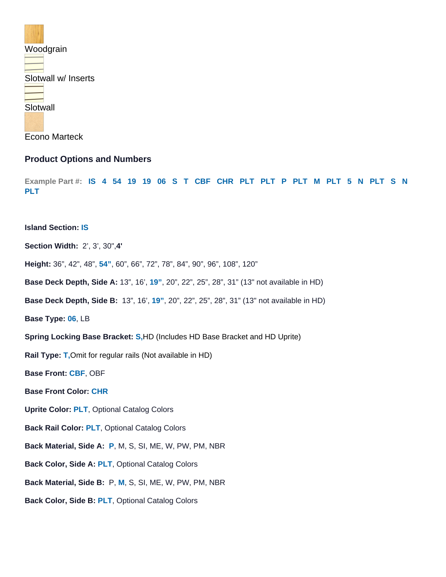#### Woodgrain

Slotwall w/ Inserts

#### **Slotwall**

#### Econo Marteck

#### Product Options and Numbers

Example Part #: IS 4 54 19 19 06 S T CBF CHR PLT PLT P PLT M PLT 5 N PLT S N PLT

#### Island Section: IS

Section Width: 2', 3', 30",4'

- Height: 36", 42", 48", 54" , 60", 66", 72", 78", 84", 90", 96", 108", 120"
- Base Deck Depth, Side A: 13", 16', 19" , 20", 22", 25", 28", 31" (13" not available in HD)
- Base Deck Depth, Side B: 13", 16', 19" , 20", 22", 25", 28", 31" (13" not available in HD)

Base Type: 06, LB

- Spring Locking Base Bracket: S,HD (Includes HD Base Bracket and HD Uprite)
- Rail Type: T,Omit for regular rails (Not available in HD)
- Base Front: CBF, OBF
- Base Front Color: CHR
- Uprite Color: PLT, [Optional Catalog Colors](/resources/lozier-colors/)
- Back Rail Color: PLT, [Optional Catalog Colors](/resources/lozier-colors/)
- Back Material, Side A: P, M, S, SI, ME, W, PW, PM, NBR
- Back Color, Side A: PLT, [Optional Catalog Colors](/resources/lozier-colors/)
- Back Material, Side B: P, M, S, SI, ME, W, PW, PM, NBR
- Back Color, Side B: PLT, [Optional Catalog Colors](/resources/lozier-colors/)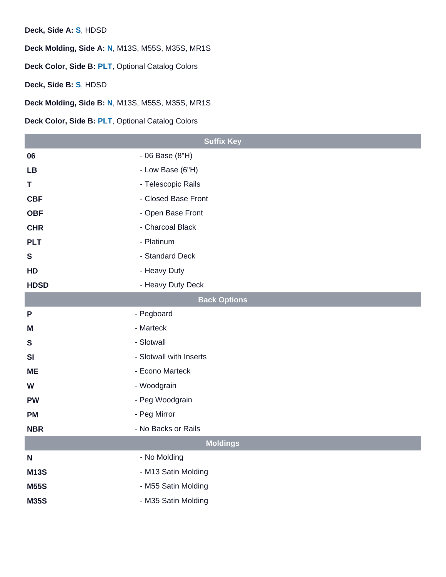Deck, Side A: S, HDSD

Deck Molding, Side A: N, M13S, M55S, M35S, MR1S

Deck Color, Side B: PLT, [Optional Catalog Colors](/resources/lozier-colors/)

Deck, Side B: S, HDSD

Deck Molding, Side B: N, M13S, M55S, M35S, MR1S

Deck Color, Side B: PLT, [Optional Catalog Colors](/resources/lozier-colors/)

|              | <b>Suffix Key</b>       |  |  |
|--------------|-------------------------|--|--|
| 06           | - 06 Base (8"H)         |  |  |
| LB           | - Low Base (6"H)        |  |  |
| T            | - Telescopic Rails      |  |  |
| <b>CBF</b>   | - Closed Base Front     |  |  |
| <b>OBF</b>   | - Open Base Front       |  |  |
| <b>CHR</b>   | - Charcoal Black        |  |  |
| <b>PLT</b>   | - Platinum              |  |  |
| $\mathbf S$  | - Standard Deck         |  |  |
| HD           | - Heavy Duty            |  |  |
| <b>HDSD</b>  | - Heavy Duty Deck       |  |  |
|              | <b>Back Options</b>     |  |  |
| $\mathsf{P}$ | - Pegboard              |  |  |
| M            | - Marteck               |  |  |
| $\mathsf S$  | - Slotwall              |  |  |
| SI           | - Slotwall with Inserts |  |  |
| ME           | - Econo Marteck         |  |  |
| W            | - Woodgrain             |  |  |
| <b>PW</b>    | - Peg Woodgrain         |  |  |
| PM           | - Peg Mirror            |  |  |
| <b>NBR</b>   | - No Backs or Rails     |  |  |
| Moldings     |                         |  |  |
| $\mathsf{N}$ | - No Molding            |  |  |
| M13S         | - M13 Satin Molding     |  |  |
| <b>M55S</b>  | - M55 Satin Molding     |  |  |
| M35S         | - M35 Satin Molding     |  |  |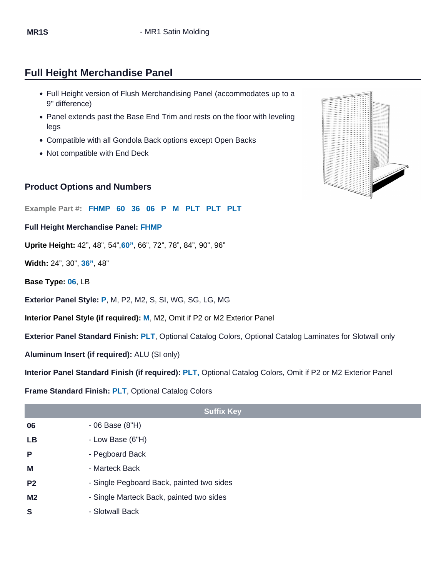# Full Height Merchandise Panel

- Full Height version of Flush Merchandising Panel (accommodates up to a 9" difference)
- Panel extends past the Base End Trim and rests on the floor with leveling legs
- Compatible with all Gondola Back options except Open Backs
- Not compatible with End Deck

### Product Options and Numbers

Example Part #: FHMP 60 36 06 P M PLT PLT PLT

Full Height Merchandise Panel: FHMP

Uprite Height: 42", 48", 54",60" , 66", 72", 78", 84", 90", 96"

Width: 24", 30", 36" , 48"

Base Type: 06, LB

Exterior Panel Style: P, M, P2, M2, S, SI, WG, SG, LG, MG

Interior Panel Style (if required): M, M2, Omit if P2 or M2 Exterior Panel

Exterior Panel Standard Finish: PLT, [Optional Catalog Colors](https://www.lozier.com/resources/lozier-colors/), [Optional Catalog Laminates](https://www.lozier.com/resources/lozier-colors/) for Slotwall only

Aluminum Insert (if required): ALU (SI only)

Interior Panel Standard Finish (if required): PLT, [Optional Catalog Colors](https://www.lozier.com/resources/lozier-colors/), Omit if P2 or M2 Exterior Panel

#### Frame Standard Finish: PLT, [Optional Catalog Colors](https://www.lozier.com/resources/lozier-colors/)

|                | <b>Suffix Key</b>                         |
|----------------|-------------------------------------------|
| 06             | $-06$ Base $(8"H)$                        |
| LB             | - Low Base (6"H)                          |
| P              | - Pegboard Back                           |
| M              | - Marteck Back                            |
| P <sub>2</sub> | - Single Pegboard Back, painted two sides |
| M <sub>2</sub> | - Single Marteck Back, painted two sides  |
| S              | - Slotwall Back                           |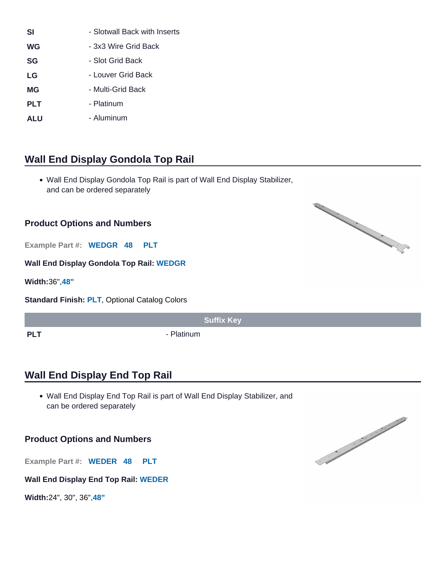| <b>SI</b>  | - Slotwall Back with Inserts |
|------------|------------------------------|
| WG         | - 3x3 Wire Grid Back         |
| SG         | - Slot Grid Back             |
| LG         | - Louver Grid Back           |
| ΜG         | - Multi-Grid Back            |
| <b>PLT</b> | - Platinum                   |
| ALU        | - Aluminum                   |

# Wall End Display Gondola Top Rail

Wall End Display Gondola Top Rail is part of Wall End Display Stabilizer, and can be ordered separately

#### Product Options and Numbers

Wall End Display Gondola Top Rail: WEDGR

Width: 36",48"

Standard Finish: PLT, [Optional Catalog Colors](https://www.lozier.com/resources/lozier-colors/)

Suffix Key

PLT Platinum

# Wall End Display End Top Rail

Wall End Display End Top Rail is part of Wall End Display Stabilizer, and can be ordered separately

### Product Options and Numbers

Example Part #: WEDER 48 PLT Wall End Display End Top Rail: WEDER

Width: 24", 30", 36",48"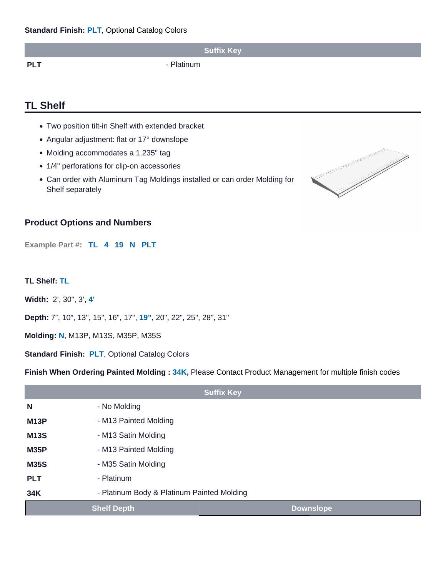|     | <b>Suffix Key</b> |
|-----|-------------------|
| PLT | - Platinum        |

# TL Shelf

- Two position tilt-in Shelf with extended bracket
- Angular adjustment: flat or 17° downslope
- Molding accommodates a 1.235" tag
- 1/4" perforations for clip-on accessories
- Can order with Aluminum Tag Moldings installed or can order Molding for Shelf separately

### Product Options and Numbers

Example Part #: TL 4 19 N PLT

TL Shelf: TL

Width: 2', 30", 3', 4'

Depth: 7", 10", 13", 15", 16", 17", 19" , 20", 22", 25", 28", 31"

Molding: N, M13P, M13S, M35P, M35S

Standard Finish: PLT, [Optional Catalog Colors](/resources/lozier-colors/)

Finish When Ordering Painted Molding : 34K, Please Contact Product Management for multiple finish codes

| <b>Suffix Key</b> |                                            |           |  |  |
|-------------------|--------------------------------------------|-----------|--|--|
| N                 | - No Molding                               |           |  |  |
| M <sub>13</sub> P | - M13 Painted Molding                      |           |  |  |
| <b>M13S</b>       | - M13 Satin Molding                        |           |  |  |
| <b>M35P</b>       | - M13 Painted Molding                      |           |  |  |
| <b>M35S</b>       | - M35 Satin Molding                        |           |  |  |
| <b>PLT</b>        | - Platinum                                 |           |  |  |
| 34K               | - Platinum Body & Platinum Painted Molding |           |  |  |
|                   | <b>Shelf Depth</b>                         | Downslope |  |  |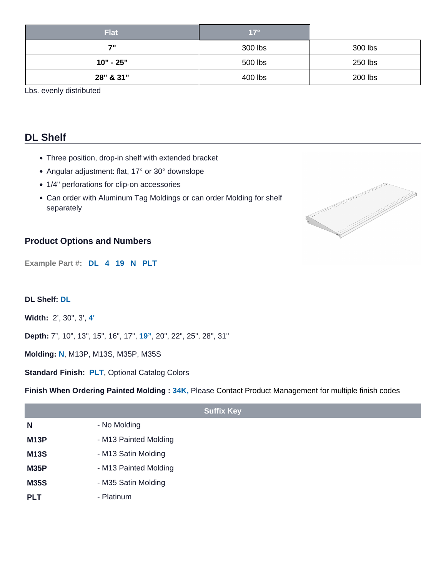| Flat        | $17^\circ$ |         |
|-------------|------------|---------|
| 7"          | 300 lbs    | 300 lbs |
| $10" - 25"$ | 500 lbs    | 250 lbs |
| 28" & 31"   | 400 lbs    | 200 lbs |

Lbs. evenly distributed

# DL Shelf

- Three position, drop-in shelf with extended bracket
- Angular adjustment: flat, 17° or 30° downslope
- 1/4" perforations for clip-on accessories
- Can order with Aluminum Tag Moldings or can order Molding for shelf separately

### Product Options and Numbers

Example Part #: DL 4 19 N PLT

DL Shelf: DL

Width: 2', 30", 3', 4'

Depth: 7", 10", 13", 15", 16", 17", 19" , 20", 22", 25", 28", 31"

Molding: N, M13P, M13S, M35P, M35S

Standard Finish: PLT, [Optional Catalog Colors](/resources/lozier-colors/)

Finish When Ordering Painted Molding : 34K, Please Contact Product Management for multiple finish codes

|                   | <b>Suffix Key</b>     |
|-------------------|-----------------------|
| N                 | - No Molding          |
| M <sub>13</sub> P | - M13 Painted Molding |
| M13S              | - M13 Satin Molding   |
| M35P              | - M13 Painted Molding |
| M35S              | - M35 Satin Molding   |
| <b>PLT</b>        | - Platinum            |